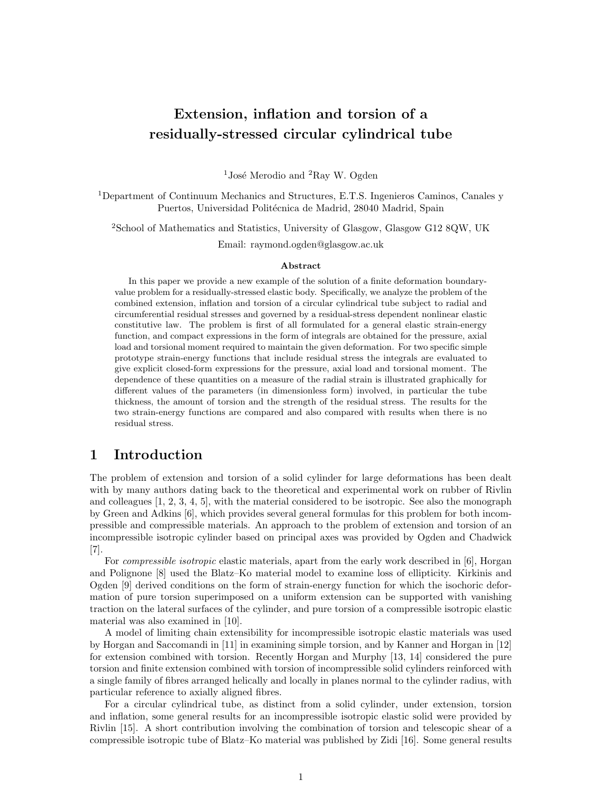# Extension, inflation and torsion of a residually-stressed circular cylindrical tube

<sup>1</sup>José Merodio and <sup>2</sup>Ray W. Ogden

<sup>1</sup>Department of Continuum Mechanics and Structures, E.T.S. Ingenieros Caminos, Canales y Puertos, Universidad Politécnica de Madrid, 28040 Madrid, Spain

<sup>2</sup>School of Mathematics and Statistics, University of Glasgow, Glasgow G12 8QW, UK

Email: raymond.ogden@glasgow.ac.uk

#### Abstract

In this paper we provide a new example of the solution of a finite deformation boundaryvalue problem for a residually-stressed elastic body. Specifically, we analyze the problem of the combined extension, inflation and torsion of a circular cylindrical tube subject to radial and circumferential residual stresses and governed by a residual-stress dependent nonlinear elastic constitutive law. The problem is first of all formulated for a general elastic strain-energy function, and compact expressions in the form of integrals are obtained for the pressure, axial load and torsional moment required to maintain the given deformation. For two specific simple prototype strain-energy functions that include residual stress the integrals are evaluated to give explicit closed-form expressions for the pressure, axial load and torsional moment. The dependence of these quantities on a measure of the radial strain is illustrated graphically for different values of the parameters (in dimensionless form) involved, in particular the tube thickness, the amount of torsion and the strength of the residual stress. The results for the two strain-energy functions are compared and also compared with results when there is no residual stress.

## 1 Introduction

The problem of extension and torsion of a solid cylinder for large deformations has been dealt with by many authors dating back to the theoretical and experimental work on rubber of Rivlin and colleagues [1, 2, 3, 4, 5], with the material considered to be isotropic. See also the monograph by Green and Adkins [6], which provides several general formulas for this problem for both incompressible and compressible materials. An approach to the problem of extension and torsion of an incompressible isotropic cylinder based on principal axes was provided by Ogden and Chadwick [7].

For *compressible isotropic* elastic materials, apart from the early work described in [6], Horgan and Polignone [8] used the Blatz–Ko material model to examine loss of ellipticity. Kirkinis and Ogden [9] derived conditions on the form of strain-energy function for which the isochoric deformation of pure torsion superimposed on a uniform extension can be supported with vanishing traction on the lateral surfaces of the cylinder, and pure torsion of a compressible isotropic elastic material was also examined in [10].

A model of limiting chain extensibility for incompressible isotropic elastic materials was used by Horgan and Saccomandi in [11] in examining simple torsion, and by Kanner and Horgan in [12] for extension combined with torsion. Recently Horgan and Murphy [13, 14] considered the pure torsion and finite extension combined with torsion of incompressible solid cylinders reinforced with a single family of fibres arranged helically and locally in planes normal to the cylinder radius, with particular reference to axially aligned fibres.

For a circular cylindrical tube, as distinct from a solid cylinder, under extension, torsion and inflation, some general results for an incompressible isotropic elastic solid were provided by Rivlin [15]. A short contribution involving the combination of torsion and telescopic shear of a compressible isotropic tube of Blatz–Ko material was published by Zidi [16]. Some general results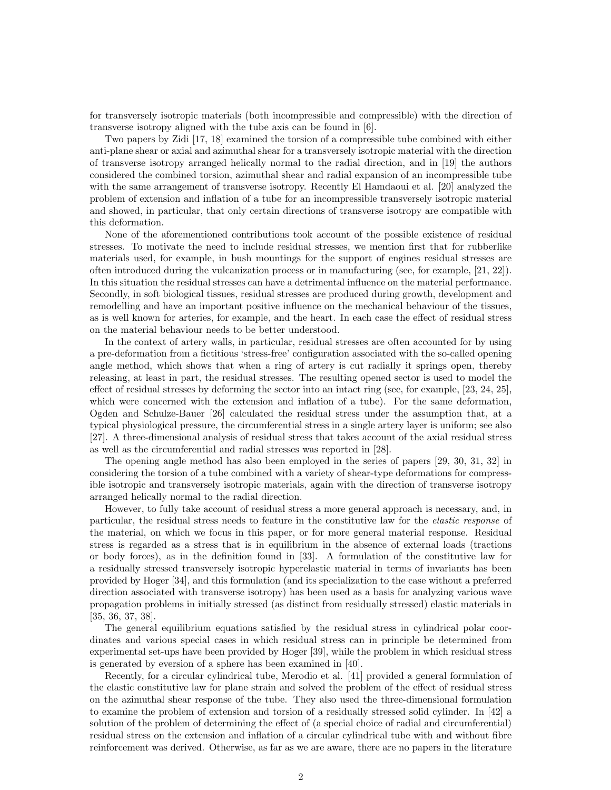for transversely isotropic materials (both incompressible and compressible) with the direction of transverse isotropy aligned with the tube axis can be found in [6].

Two papers by Zidi [17, 18] examined the torsion of a compressible tube combined with either anti-plane shear or axial and azimuthal shear for a transversely isotropic material with the direction of transverse isotropy arranged helically normal to the radial direction, and in [19] the authors considered the combined torsion, azimuthal shear and radial expansion of an incompressible tube with the same arrangement of transverse isotropy. Recently El Hamdaoui et al. [20] analyzed the problem of extension and inflation of a tube for an incompressible transversely isotropic material and showed, in particular, that only certain directions of transverse isotropy are compatible with this deformation.

None of the aforementioned contributions took account of the possible existence of residual stresses. To motivate the need to include residual stresses, we mention first that for rubberlike materials used, for example, in bush mountings for the support of engines residual stresses are often introduced during the vulcanization process or in manufacturing (see, for example, [21, 22]). In this situation the residual stresses can have a detrimental influence on the material performance. Secondly, in soft biological tissues, residual stresses are produced during growth, development and remodelling and have an important positive influence on the mechanical behaviour of the tissues, as is well known for arteries, for example, and the heart. In each case the effect of residual stress on the material behaviour needs to be better understood.

In the context of artery walls, in particular, residual stresses are often accounted for by using a pre-deformation from a fictitious 'stress-free' configuration associated with the so-called opening angle method, which shows that when a ring of artery is cut radially it springs open, thereby releasing, at least in part, the residual stresses. The resulting opened sector is used to model the effect of residual stresses by deforming the sector into an intact ring (see, for example, [23, 24, 25], which were concerned with the extension and inflation of a tube). For the same deformation, Ogden and Schulze-Bauer [26] calculated the residual stress under the assumption that, at a typical physiological pressure, the circumferential stress in a single artery layer is uniform; see also [27]. A three-dimensional analysis of residual stress that takes account of the axial residual stress as well as the circumferential and radial stresses was reported in [28].

The opening angle method has also been employed in the series of papers [29, 30, 31, 32] in considering the torsion of a tube combined with a variety of shear-type deformations for compressible isotropic and transversely isotropic materials, again with the direction of transverse isotropy arranged helically normal to the radial direction.

However, to fully take account of residual stress a more general approach is necessary, and, in particular, the residual stress needs to feature in the constitutive law for the elastic response of the material, on which we focus in this paper, or for more general material response. Residual stress is regarded as a stress that is in equilibrium in the absence of external loads (tractions or body forces), as in the definition found in [33]. A formulation of the constitutive law for a residually stressed transversely isotropic hyperelastic material in terms of invariants has been provided by Hoger [34], and this formulation (and its specialization to the case without a preferred direction associated with transverse isotropy) has been used as a basis for analyzing various wave propagation problems in initially stressed (as distinct from residually stressed) elastic materials in [35, 36, 37, 38].

The general equilibrium equations satisfied by the residual stress in cylindrical polar coordinates and various special cases in which residual stress can in principle be determined from experimental set-ups have been provided by Hoger [39], while the problem in which residual stress is generated by eversion of a sphere has been examined in [40].

Recently, for a circular cylindrical tube, Merodio et al. [41] provided a general formulation of the elastic constitutive law for plane strain and solved the problem of the effect of residual stress on the azimuthal shear response of the tube. They also used the three-dimensional formulation to examine the problem of extension and torsion of a residually stressed solid cylinder. In [42] a solution of the problem of determining the effect of (a special choice of radial and circumferential) residual stress on the extension and inflation of a circular cylindrical tube with and without fibre reinforcement was derived. Otherwise, as far as we are aware, there are no papers in the literature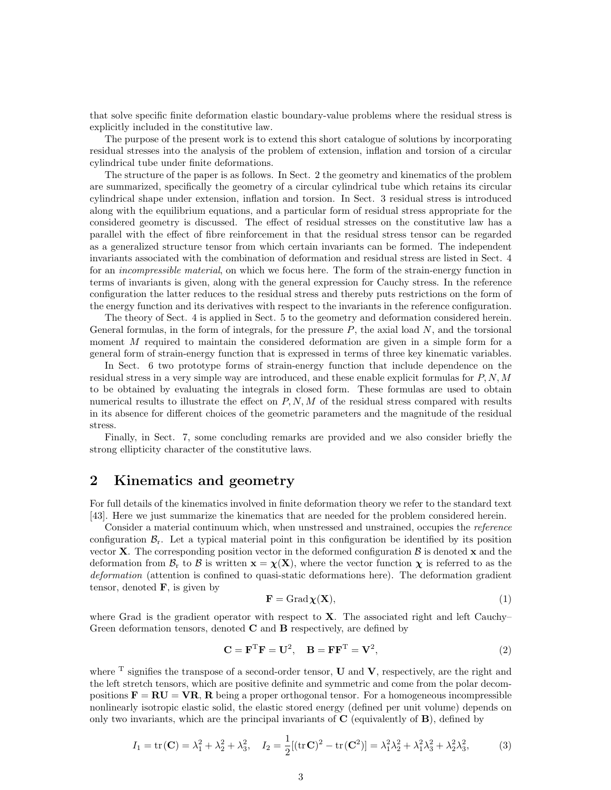that solve specific finite deformation elastic boundary-value problems where the residual stress is explicitly included in the constitutive law.

The purpose of the present work is to extend this short catalogue of solutions by incorporating residual stresses into the analysis of the problem of extension, inflation and torsion of a circular cylindrical tube under finite deformations.

The structure of the paper is as follows. In Sect. 2 the geometry and kinematics of the problem are summarized, specifically the geometry of a circular cylindrical tube which retains its circular cylindrical shape under extension, inflation and torsion. In Sect. 3 residual stress is introduced along with the equilibrium equations, and a particular form of residual stress appropriate for the considered geometry is discussed. The effect of residual stresses on the constitutive law has a parallel with the effect of fibre reinforcement in that the residual stress tensor can be regarded as a generalized structure tensor from which certain invariants can be formed. The independent invariants associated with the combination of deformation and residual stress are listed in Sect. 4 for an *incompressible material*, on which we focus here. The form of the strain-energy function in terms of invariants is given, along with the general expression for Cauchy stress. In the reference configuration the latter reduces to the residual stress and thereby puts restrictions on the form of the energy function and its derivatives with respect to the invariants in the reference configuration.

The theory of Sect. 4 is applied in Sect. 5 to the geometry and deformation considered herein. General formulas, in the form of integrals, for the pressure  $P$ , the axial load  $N$ , and the torsional moment M required to maintain the considered deformation are given in a simple form for a general form of strain-energy function that is expressed in terms of three key kinematic variables.

In Sect. 6 two prototype forms of strain-energy function that include dependence on the residual stress in a very simple way are introduced, and these enable explicit formulas for  $P, N, M$ to be obtained by evaluating the integrals in closed form. These formulas are used to obtain numerical results to illustrate the effect on  $P, N, M$  of the residual stress compared with results in its absence for different choices of the geometric parameters and the magnitude of the residual stress.

Finally, in Sect. 7, some concluding remarks are provided and we also consider briefly the strong ellipticity character of the constitutive laws.

### 2 Kinematics and geometry

For full details of the kinematics involved in finite deformation theory we refer to the standard text [43]. Here we just summarize the kinematics that are needed for the problem considered herein.

Consider a material continuum which, when unstressed and unstrained, occupies the reference configuration  $\mathcal{B}_r$ . Let a typical material point in this configuration be identified by its position vector **X**. The corresponding position vector in the deformed configuration  $\beta$  is denoted **x** and the deformation from  $\mathcal{B}_r$  to  $\mathcal{B}$  is written  $\mathbf{x} = \chi(\mathbf{X})$ , where the vector function  $\chi$  is referred to as the deformation (attention is confined to quasi-static deformations here). The deformation gradient tensor, denoted  $\bf{F}$ , is given by

$$
\mathbf{F} = \text{Grad}\,\chi(\mathbf{X}),\tag{1}
$$

where Grad is the gradient operator with respect to  $X$ . The associated right and left Cauchy– Green deformation tensors, denoted  $C$  and  $B$  respectively, are defined by

$$
\mathbf{C} = \mathbf{F}^{\mathrm{T}} \mathbf{F} = \mathbf{U}^2, \quad \mathbf{B} = \mathbf{F} \mathbf{F}^{\mathrm{T}} = \mathbf{V}^2,\tag{2}
$$

where  $T$  signifies the transpose of a second-order tensor,  $U$  and  $V$ , respectively, are the right and the left stretch tensors, which are positive definite and symmetric and come from the polar decompositions  $\mathbf{F} = \mathbf{RU} = \mathbf{VR}$ ,  $\mathbf{R}$  being a proper orthogonal tensor. For a homogeneous incompressible nonlinearly isotropic elastic solid, the elastic stored energy (defined per unit volume) depends on only two invariants, which are the principal invariants of  $C$  (equivalently of  $B$ ), defined by

$$
I_1 = \text{tr}(\mathbf{C}) = \lambda_1^2 + \lambda_2^2 + \lambda_3^2, \quad I_2 = \frac{1}{2} [(\text{tr}\,\mathbf{C})^2 - \text{tr}(\mathbf{C}^2)] = \lambda_1^2 \lambda_2^2 + \lambda_1^2 \lambda_3^2 + \lambda_2^2 \lambda_3^2,
$$
 (3)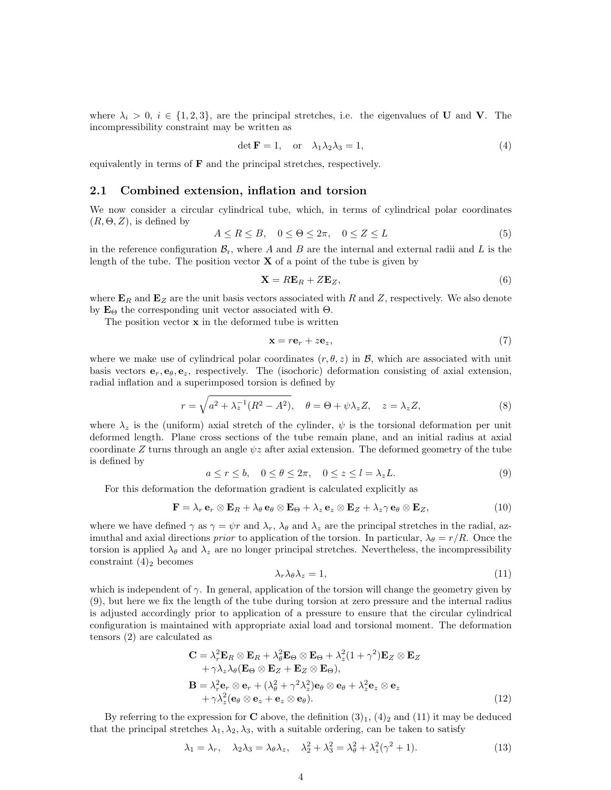where  $\lambda_i > 0$ ,  $i \in \{1, 2, 3\}$ , are the principal stretches, i.e. the eigenvalues of U and V. The incompressibility constraint may be written as

$$
\det \mathbf{F} = 1, \quad \text{or} \quad \lambda_1 \lambda_2 \lambda_3 = 1,\tag{4}
$$

equivalently in terms of  **and the principal stretches, respectively.** 

#### 2.1 Combined extension, inflation and torsion

We now consider a circular cylindrical tube, which, in terms of cylindrical polar coordinates  $(R, \Theta, Z)$ , is defined by

$$
A \le R \le B, \quad 0 \le \Theta \le 2\pi, \quad 0 \le Z \le L \tag{5}
$$

in the reference configuration  $\mathcal{B}_r$ , where A and B are the internal and external radii and L is the length of the tube. The position vector  $X$  of a point of the tube is given by

$$
\mathbf{X} = R\mathbf{E}_R + Z\mathbf{E}_Z,\tag{6}
$$

where  $\mathbf{E}_R$  and  $\mathbf{E}_Z$  are the unit basis vectors associated with R and Z, respectively. We also denote by  $\mathbf{E}_{\Theta}$  the corresponding unit vector associated with  $\Theta$ .

The position vector  $x$  in the deformed tube is written

$$
\mathbf{x} = r\mathbf{e}_r + z\mathbf{e}_z,\tag{7}
$$

where we make use of cylindrical polar coordinates  $(r, \theta, z)$  in  $\mathcal{B}$ , which are associated with unit basis vectors  $e_r, e_\theta, e_z$ , respectively. The (isochoric) deformation consisting of axial extension, radial inflation and a superimposed torsion is defined by

$$
r = \sqrt{a^2 + \lambda_z^{-1}(R^2 - A^2)}, \quad \theta = \Theta + \psi \lambda_z Z, \quad z = \lambda_z Z,
$$
 (8)

where  $\lambda_z$  is the (uniform) axial stretch of the cylinder,  $\psi$  is the torsional deformation per unit deformed length. Plane cross sections of the tube remain plane, and an initial radius at axial coordinate Z turns through an angle  $\psi z$  after axial extension. The deformed geometry of the tube is defined by

$$
a \le r \le b, \quad 0 \le \theta \le 2\pi, \quad 0 \le z \le l = \lambda_z L. \tag{9}
$$

For this deformation the deformation gradient is calculated explicitly as

$$
\mathbf{F} = \lambda_r \mathbf{e}_r \otimes \mathbf{E}_R + \lambda_\theta \mathbf{e}_\theta \otimes \mathbf{E}_\Theta + \lambda_z \mathbf{e}_z \otimes \mathbf{E}_Z + \lambda_z \gamma \mathbf{e}_\theta \otimes \mathbf{E}_Z, \tag{10}
$$

where we have defined  $\gamma$  as  $\gamma = \psi r$  and  $\lambda_r$ ,  $\lambda_\theta$  and  $\lambda_z$  are the principal stretches in the radial, azimuthal and axial directions prior to application of the torsion. In particular,  $\lambda_{\theta} = r/R$ . Once the torsion is applied  $\lambda_{\theta}$  and  $\lambda_{z}$  are no longer principal stretches. Nevertheless, the incompressibility constraint  $(4)_2$  becomes

$$
\lambda_r \lambda_\theta \lambda_z = 1,\tag{11}
$$

which is independent of  $\gamma$ . In general, application of the torsion will change the geometry given by (9), but here we fix the length of the tube during torsion at zero pressure and the internal radius is adjusted accordingly prior to application of a pressure to ensure that the circular cylindrical configuration is maintained with appropriate axial load and torsional moment. The deformation tensors (2) are calculated as

$$
\mathbf{C} = \lambda_r^2 \mathbf{E}_R \otimes \mathbf{E}_R + \lambda_\theta^2 \mathbf{E}_\Theta \otimes \mathbf{E}_\Theta + \lambda_z^2 (1 + \gamma^2) \mathbf{E}_Z \otimes \mathbf{E}_Z + \gamma \lambda_z \lambda_\theta (\mathbf{E}_\Theta \otimes \mathbf{E}_Z + \mathbf{E}_Z \otimes \mathbf{E}_\Theta), \n\mathbf{B} = \lambda_r^2 \mathbf{e}_r \otimes \mathbf{e}_r + (\lambda_\theta^2 + \gamma^2 \lambda_z^2) \mathbf{e}_\theta \otimes \mathbf{e}_\theta + \lambda_z^2 \mathbf{e}_z \otimes \mathbf{e}_z + \gamma \lambda_z^2 (\mathbf{e}_\theta \otimes \mathbf{e}_z + \mathbf{e}_z \otimes \mathbf{e}_\theta).
$$
\n(12)

By referring to the expression for C above, the definition  $(3)_1$ ,  $(4)_2$  and  $(11)$  it may be deduced that the principal stretches  $\lambda_1, \lambda_2, \lambda_3$ , with a suitable ordering, can be taken to satisfy

$$
\lambda_1 = \lambda_r, \quad \lambda_2 \lambda_3 = \lambda_\theta \lambda_z, \quad \lambda_2^2 + \lambda_3^2 = \lambda_\theta^2 + \lambda_z^2 (\gamma^2 + 1). \tag{13}
$$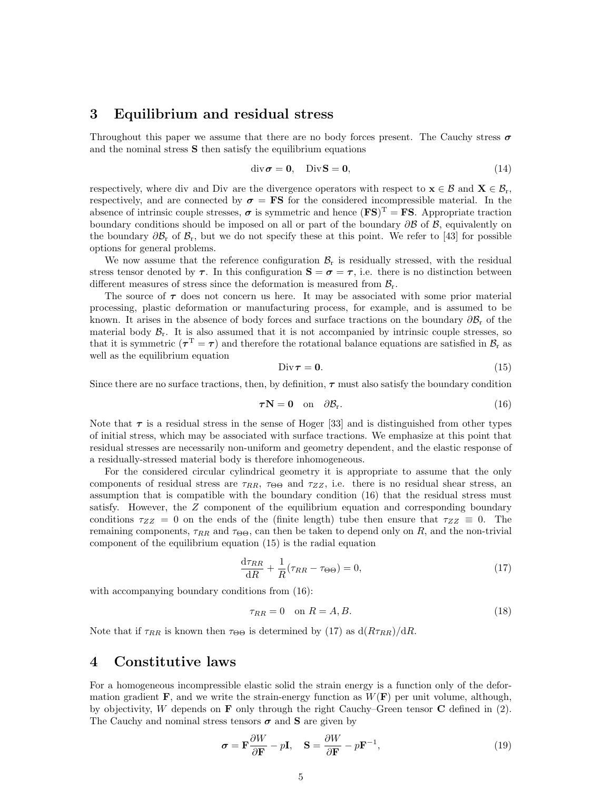### 3 Equilibrium and residual stress

Throughout this paper we assume that there are no body forces present. The Cauchy stress  $\sigma$ and the nominal stress S then satisfy the equilibrium equations

$$
\operatorname{div} \boldsymbol{\sigma} = \mathbf{0}, \quad \operatorname{Div} \mathbf{S} = \mathbf{0}, \tag{14}
$$

respectively, where div and Div are the divergence operators with respect to  $\mathbf{x} \in \mathcal{B}$  and  $\mathbf{X} \in \mathcal{B}_r$ , respectively, and are connected by  $\sigma = FS$  for the considered incompressible material. In the absence of intrinsic couple stresses,  $\sigma$  is symmetric and hence  $(FS)^{T} = FS$ . Appropriate traction boundary conditions should be imposed on all or part of the boundary  $\partial \mathcal{B}$  of  $\mathcal{B}$ , equivalently on the boundary  $\partial \mathcal{B}_r$  of  $\mathcal{B}_r$ , but we do not specify these at this point. We refer to [43] for possible options for general problems.

We now assume that the reference configuration  $\mathcal{B}_r$  is residually stressed, with the residual stress tensor denoted by  $\tau$ . In this configuration  $S = \sigma = \tau$ , i.e. there is no distinction between different measures of stress since the deformation is measured from  $\mathcal{B}_{r}$ .

The source of  $\tau$  does not concern us here. It may be associated with some prior material processing, plastic deformation or manufacturing process, for example, and is assumed to be known. It arises in the absence of body forces and surface tractions on the boundary  $\partial \mathcal{B}_r$  of the material body  $\mathcal{B}_r$ . It is also assumed that it is not accompanied by intrinsic couple stresses, so that it is symmetric  $(\tau^T = \tau)$  and therefore the rotational balance equations are satisfied in  $\mathcal{B}_r$  as well as the equilibrium equation

$$
\text{Div}\,\boldsymbol{\tau}=\mathbf{0}.\tag{15}
$$

Since there are no surface tractions, then, by definition,  $\tau$  must also satisfy the boundary condition

$$
\boldsymbol{\tau} \mathbf{N} = \mathbf{0} \quad \text{on} \quad \partial \mathcal{B}_{\mathbf{r}}.\tag{16}
$$

Note that  $\tau$  is a residual stress in the sense of Hoger [33] and is distinguished from other types of initial stress, which may be associated with surface tractions. We emphasize at this point that residual stresses are necessarily non-uniform and geometry dependent, and the elastic response of a residually-stressed material body is therefore inhomogeneous.

For the considered circular cylindrical geometry it is appropriate to assume that the only components of residual stress are  $\tau_{RR}$ ,  $\tau_{\Theta\Theta}$  and  $\tau_{ZZ}$ , i.e. there is no residual shear stress, an assumption that is compatible with the boundary condition (16) that the residual stress must satisfy. However, the Z component of the equilibrium equation and corresponding boundary conditions  $\tau_{ZZ} = 0$  on the ends of the (finite length) tube then ensure that  $\tau_{ZZ} \equiv 0$ . The remaining components,  $\tau_{RR}$  and  $\tau_{\Theta\Theta}$ , can then be taken to depend only on R, and the non-trivial component of the equilibrium equation (15) is the radial equation

$$
\frac{\mathrm{d}\tau_{RR}}{\mathrm{d}R} + \frac{1}{R}(\tau_{RR} - \tau_{\Theta\Theta}) = 0,\tag{17}
$$

with accompanying boundary conditions from  $(16)$ :

$$
\tau_{RR} = 0 \quad \text{on } R = A, B. \tag{18}
$$

Note that if  $\tau_{RR}$  is known then  $\tau_{\Theta\Theta}$  is determined by (17) as  $d(R\tau_{RR})/dR$ .

#### 4 Constitutive laws

For a homogeneous incompressible elastic solid the strain energy is a function only of the deformation gradient **F**, and we write the strain-energy function as  $W(\mathbf{F})$  per unit volume, although, by objectivity, W depends on **F** only through the right Cauchy–Green tensor **C** defined in  $(2)$ . The Cauchy and nominal stress tensors  $\sigma$  and S are given by

$$
\boldsymbol{\sigma} = \mathbf{F} \frac{\partial W}{\partial \mathbf{F}} - p \mathbf{I}, \quad \mathbf{S} = \frac{\partial W}{\partial \mathbf{F}} - p \mathbf{F}^{-1}, \tag{19}
$$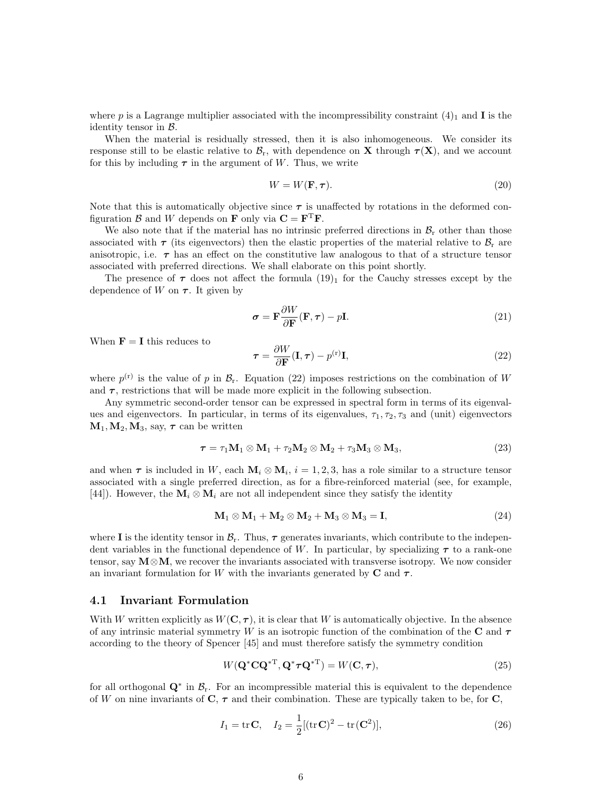where p is a Lagrange multiplier associated with the incompressibility constraint  $(4)_1$  and **I** is the identity tensor in  $\beta$ .

When the material is residually stressed, then it is also inhomogeneous. We consider its response still to be elastic relative to  $\mathcal{B}_r$ , with dependence on **X** through  $\tau(X)$ , and we account for this by including  $\tau$  in the argument of W. Thus, we write

$$
W = W(\mathbf{F}, \tau). \tag{20}
$$

Note that this is automatically objective since  $\tau$  is unaffected by rotations in the deformed configuration  $\mathcal{B}$  and  $W$  depends on **F** only via  $C = F^T F$ .

We also note that if the material has no intrinsic preferred directions in  $\mathcal{B}_r$  other than those associated with  $\tau$  (its eigenvectors) then the elastic properties of the material relative to  $\mathcal{B}_r$  are anisotropic, i.e.  $\tau$  has an effect on the constitutive law analogous to that of a structure tensor associated with preferred directions. We shall elaborate on this point shortly.

The presence of  $\tau$  does not affect the formula  $(19)<sub>1</sub>$  for the Cauchy stresses except by the dependence of W on  $\tau$ . It given by

$$
\sigma = \mathbf{F} \frac{\partial W}{\partial \mathbf{F}} (\mathbf{F}, \tau) - p \mathbf{I}.
$$
 (21)

When  $\mathbf{F} = \mathbf{I}$  this reduces to

$$
\tau = \frac{\partial W}{\partial \mathbf{F}}(\mathbf{I}, \tau) - p^{(\mathbf{r})}\mathbf{I},\tag{22}
$$

where  $p^{(r)}$  is the value of p in  $\mathcal{B}_r$ . Equation (22) imposes restrictions on the combination of W and  $\tau$ , restrictions that will be made more explicit in the following subsection.

Any symmetric second-order tensor can be expressed in spectral form in terms of its eigenvalues and eigenvectors. In particular, in terms of its eigenvalues,  $\tau_1, \tau_2, \tau_3$  and (unit) eigenvectors  $M_1, M_2, M_3$ , say,  $\tau$  can be written

$$
\tau = \tau_1 \mathbf{M}_1 \otimes \mathbf{M}_1 + \tau_2 \mathbf{M}_2 \otimes \mathbf{M}_2 + \tau_3 \mathbf{M}_3 \otimes \mathbf{M}_3, \tag{23}
$$

and when  $\tau$  is included in W, each  $M_i \otimes M_i$ ,  $i = 1, 2, 3$ , has a role similar to a structure tensor associated with a single preferred direction, as for a fibre-reinforced material (see, for example, [44]). However, the  $M_i \otimes M_i$  are not all independent since they satisfy the identity

$$
\mathbf{M}_1 \otimes \mathbf{M}_1 + \mathbf{M}_2 \otimes \mathbf{M}_2 + \mathbf{M}_3 \otimes \mathbf{M}_3 = \mathbf{I},\tag{24}
$$

where I is the identity tensor in  $\mathcal{B}_r$ . Thus,  $\tau$  generates invariants, which contribute to the independent variables in the functional dependence of W. In particular, by specializing  $\tau$  to a rank-one tensor, say  $M \otimes M$ , we recover the invariants associated with transverse isotropy. We now consider an invariant formulation for W with the invariants generated by  $C$  and  $\tau$ .

#### 4.1 Invariant Formulation

With W written explicitly as  $W(\mathbf{C}, \tau)$ , it is clear that W is automatically objective. In the absence of any intrinsic material symmetry W is an isotropic function of the combination of the C and  $\tau$ according to the theory of Spencer [45] and must therefore satisfy the symmetry condition

$$
W(\mathbf{Q}^*\mathbf{C}\mathbf{Q}^{*\mathrm{T}}, \mathbf{Q}^*\boldsymbol{\tau}\mathbf{Q}^{*\mathrm{T}}) = W(\mathbf{C}, \boldsymbol{\tau}),\tag{25}
$$

for all orthogonal  $\mathbf{Q}^*$  in  $\mathcal{B}_r$ . For an incompressible material this is equivalent to the dependence of W on nine invariants of  $C, \tau$  and their combination. These are typically taken to be, for  $C$ ,

$$
I_1 = \text{tr}\,\mathbf{C}, \quad I_2 = \frac{1}{2} [(\text{tr}\,\mathbf{C})^2 - \text{tr}\,(\mathbf{C}^2)], \tag{26}
$$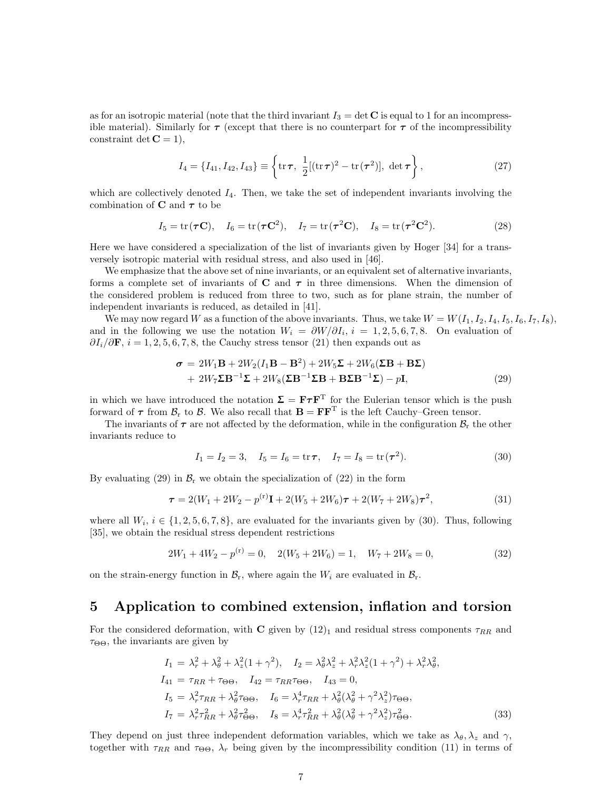as for an isotropic material (note that the third invariant  $I_3 = \det C$  is equal to 1 for an incompressible material). Similarly for  $\tau$  (except that there is no counterpart for  $\tau$  of the incompressibility constraint det  $C = 1$ .

$$
I_4 = \{I_{41}, I_{42}, I_{43}\} \equiv \left\{\text{tr}\,\boldsymbol{\tau}, \ \frac{1}{2}[(\text{tr}\,\boldsymbol{\tau})^2 - \text{tr}(\boldsymbol{\tau}^2)], \ \text{det}\,\boldsymbol{\tau}\right\},\tag{27}
$$

which are collectively denoted  $I_4$ . Then, we take the set of independent invariants involving the combination of **C** and  $\tau$  to be

$$
I_5 = \text{tr}(\boldsymbol{\tau}\mathbf{C}), \quad I_6 = \text{tr}(\boldsymbol{\tau}\mathbf{C}^2), \quad I_7 = \text{tr}(\boldsymbol{\tau}^2\mathbf{C}), \quad I_8 = \text{tr}(\boldsymbol{\tau}^2\mathbf{C}^2). \tag{28}
$$

Here we have considered a specialization of the list of invariants given by Hoger [34] for a transversely isotropic material with residual stress, and also used in [46].

We emphasize that the above set of nine invariants, or an equivalent set of alternative invariants, forms a complete set of invariants of  $C$  and  $\tau$  in three dimensions. When the dimension of the considered problem is reduced from three to two, such as for plane strain, the number of independent invariants is reduced, as detailed in [41].

We may now regard W as a function of the above invariants. Thus, we take  $W = W(I_1, I_2, I_4, I_5, I_6, I_7, I_8)$ , and in the following we use the notation  $W_i = \partial W / \partial I_i$ ,  $i = 1, 2, 5, 6, 7, 8$ . On evaluation of  $\partial I_i/\partial \mathbf{F}$ ,  $i = 1, 2, 5, 6, 7, 8$ , the Cauchy stress tensor (21) then expands out as

$$
\sigma = 2W_1\mathbf{B} + 2W_2(I_1\mathbf{B} - \mathbf{B}^2) + 2W_5\mathbf{\Sigma} + 2W_6(\mathbf{\Sigma}\mathbf{B} + \mathbf{B}\mathbf{\Sigma})
$$
  
+ 2W\_7\mathbf{\Sigma}\mathbf{B}^{-1}\mathbf{\Sigma} + 2W\_8(\mathbf{\Sigma}\mathbf{B}^{-1}\mathbf{\Sigma}\mathbf{B} + \mathbf{B}\mathbf{\Sigma}\mathbf{B}^{-1}\mathbf{\Sigma}) - p\mathbf{I}, \tag{29}

in which we have introduced the notation  $\Sigma = \mathbf{F} \tau \mathbf{F}^{\mathrm{T}}$  for the Eulerian tensor which is the push forward of  $\tau$  from  $\mathcal{B}_r$  to  $\mathcal{B}$ . We also recall that  $\mathbf{B} = \mathbf{F}\mathbf{F}^T$  is the left Cauchy–Green tensor.

The invariants of  $\tau$  are not affected by the deformation, while in the configuration  $\mathcal{B}_r$ , the other invariants reduce to

$$
I_1 = I_2 = 3, \quad I_5 = I_6 = \text{tr}\,\tau, \quad I_7 = I_8 = \text{tr}\,(\tau^2). \tag{30}
$$

By evaluating (29) in  $\mathcal{B}_r$  we obtain the specialization of (22) in the form

$$
\tau = 2(W_1 + 2W_2 - p^{(r)}\mathbf{I} + 2(W_5 + 2W_6)\tau + 2(W_7 + 2W_8)\tau^2, \tag{31}
$$

where all  $W_i$ ,  $i \in \{1, 2, 5, 6, 7, 8\}$ , are evaluated for the invariants given by (30). Thus, following [35], we obtain the residual stress dependent restrictions

$$
2W_1 + 4W_2 - p^{(r)} = 0, \quad 2(W_5 + 2W_6) = 1, \quad W_7 + 2W_8 = 0,\tag{32}
$$

on the strain-energy function in  $\mathcal{B}_r$ , where again the  $W_i$  are evaluated in  $\mathcal{B}_r$ .

### 5 Application to combined extension, inflation and torsion

For the considered deformation, with C given by  $(12)_1$  and residual stress components  $\tau_{RR}$  and  $\tau_{\Theta\Theta}$ , the invariants are given by

$$
I_1 = \lambda_r^2 + \lambda_\theta^2 + \lambda_z^2 (1 + \gamma^2), \quad I_2 = \lambda_\theta^2 \lambda_z^2 + \lambda_r^2 \lambda_z^2 (1 + \gamma^2) + \lambda_r^2 \lambda_\theta^2,
$$
  
\n
$$
I_{41} = \tau_{RR} + \tau_{\Theta \Theta}, \quad I_{42} = \tau_{RR} \tau_{\Theta \Theta}, \quad I_{43} = 0,
$$
  
\n
$$
I_5 = \lambda_r^2 \tau_{RR} + \lambda_\theta^2 \tau_{\Theta \Theta}, \quad I_6 = \lambda_r^4 \tau_{RR} + \lambda_\theta^2 (\lambda_\theta^2 + \gamma^2 \lambda_z^2) \tau_{\Theta \Theta},
$$
  
\n
$$
I_7 = \lambda_r^2 \tau_{RR}^2 + \lambda_\theta^2 \tau_{\Theta \Theta}^2, \quad I_8 = \lambda_r^4 \tau_{RR}^2 + \lambda_\theta^2 (\lambda_\theta^2 + \gamma^2 \lambda_z^2) \tau_{\Theta \Theta}^2.
$$
\n(33)

They depend on just three independent deformation variables, which we take as  $\lambda_{\theta}, \lambda_{z}$  and  $\gamma$ , together with  $\tau_{RR}$  and  $\tau_{\Theta\Theta}$ ,  $\lambda_r$  being given by the incompressibility condition (11) in terms of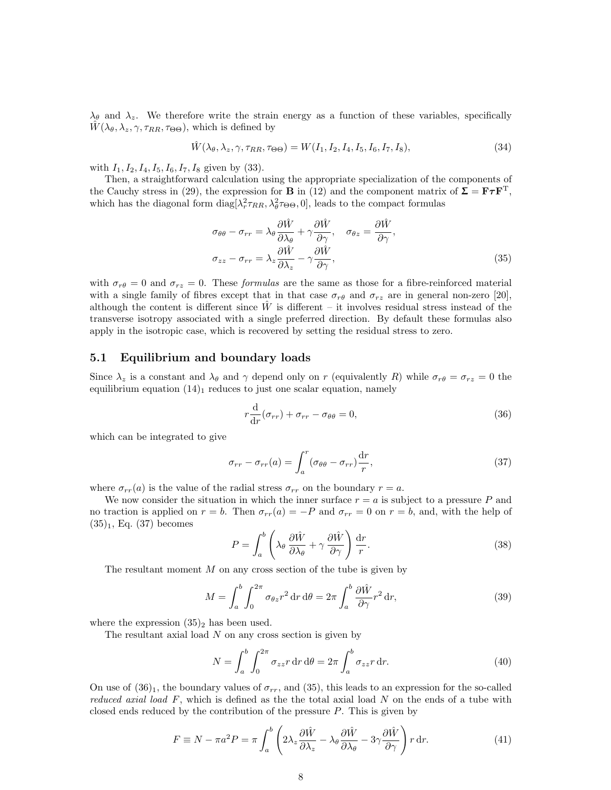$\lambda_{\theta}$  and  $\lambda_{z}$ . We therefore write the strain energy as a function of these variables, specifically  $\hat{W}(\lambda_{\theta}, \lambda_{z}, \gamma, \tau_{RR}, \tau_{\Theta\Theta})$ , which is defined by

$$
\hat{W}(\lambda_{\theta}, \lambda_{z}, \gamma, \tau_{RR}, \tau_{\Theta \Theta}) = W(I_1, I_2, I_4, I_5, I_6, I_7, I_8),\tag{34}
$$

with  $I_1, I_2, I_4, I_5, I_6, I_7, I_8$  given by (33).

Then, a straightforward calculation using the appropriate specialization of the components of the Cauchy stress in (29), the expression for **B** in (12) and the component matrix of  $\Sigma = \mathbf{F} \tau \mathbf{F}^T$ , which has the diagonal form  $diag[\lambda_r^2 \tau_{RR}, \lambda_\theta^2 \tau_{\Theta\Theta}, 0]$ , leads to the compact formulas

$$
\sigma_{\theta\theta} - \sigma_{rr} = \lambda_{\theta} \frac{\partial \hat{W}}{\partial \lambda_{\theta}} + \gamma \frac{\partial \hat{W}}{\partial \gamma}, \quad \sigma_{\theta z} = \frac{\partial \hat{W}}{\partial \gamma},
$$
  

$$
\sigma_{zz} - \sigma_{rr} = \lambda_{z} \frac{\partial \hat{W}}{\partial \lambda_{z}} - \gamma \frac{\partial \hat{W}}{\partial \gamma},
$$
 (35)

with  $\sigma_{r\theta} = 0$  and  $\sigma_{rz} = 0$ . These *formulas* are the same as those for a fibre-reinforced material with a single family of fibres except that in that case  $\sigma_{r\theta}$  and  $\sigma_{rz}$  are in general non-zero [20], although the content is different since  $W$  is different – it involves residual stress instead of the transverse isotropy associated with a single preferred direction. By default these formulas also apply in the isotropic case, which is recovered by setting the residual stress to zero.

#### 5.1 Equilibrium and boundary loads

Since  $\lambda_z$  is a constant and  $\lambda_\theta$  and  $\gamma$  depend only on r (equivalently R) while  $\sigma_{r\theta} = \sigma_{rz} = 0$  the equilibrium equation  $(14)_1$  reduces to just one scalar equation, namely

$$
r\frac{\mathrm{d}}{\mathrm{d}r}(\sigma_{rr}) + \sigma_{rr} - \sigma_{\theta\theta} = 0,\tag{36}
$$

which can be integrated to give

$$
\sigma_{rr} - \sigma_{rr}(a) = \int_{a}^{r} (\sigma_{\theta\theta} - \sigma_{rr}) \frac{\mathrm{d}r}{r}, \qquad (37)
$$

where  $\sigma_{rr}(a)$  is the value of the radial stress  $\sigma_{rr}$  on the boundary  $r = a$ .

We now consider the situation in which the inner surface  $r = a$  is subject to a pressure P and no traction is applied on  $r = b$ . Then  $\sigma_{rr}(a) = -P$  and  $\sigma_{rr} = 0$  on  $r = b$ , and, with the help of  $(35)_1$ , Eq.  $(37)$  becomes

$$
P = \int_{a}^{b} \left( \lambda_{\theta} \frac{\partial \hat{W}}{\partial \lambda_{\theta}} + \gamma \frac{\partial \hat{W}}{\partial \gamma} \right) \frac{\mathrm{d}r}{r}.
$$
 (38)

The resultant moment  $M$  on any cross section of the tube is given by

$$
M = \int_{a}^{b} \int_{0}^{2\pi} \sigma_{\theta z} r^{2} dr d\theta = 2\pi \int_{a}^{b} \frac{\partial \hat{W}}{\partial \gamma} r^{2} dr,
$$
\n(39)

where the expression  $(35)_2$  has been used.

The resultant axial load  $N$  on any cross section is given by

$$
N = \int_{a}^{b} \int_{0}^{2\pi} \sigma_{zz} r \, dr \, d\theta = 2\pi \int_{a}^{b} \sigma_{zz} r \, dr. \tag{40}
$$

On use of  $(36)_1$ , the boundary values of  $\sigma_{rr}$ , and  $(35)$ , this leads to an expression for the so-called reduced axial load  $F$ , which is defined as the the total axial load N on the ends of a tube with closed ends reduced by the contribution of the pressure  $P$ . This is given by

$$
F \equiv N - \pi a^2 P = \pi \int_a^b \left( 2\lambda_z \frac{\partial \hat{W}}{\partial \lambda_z} - \lambda_\theta \frac{\partial \hat{W}}{\partial \lambda_\theta} - 3\gamma \frac{\partial \hat{W}}{\partial \gamma} \right) r \, dr. \tag{41}
$$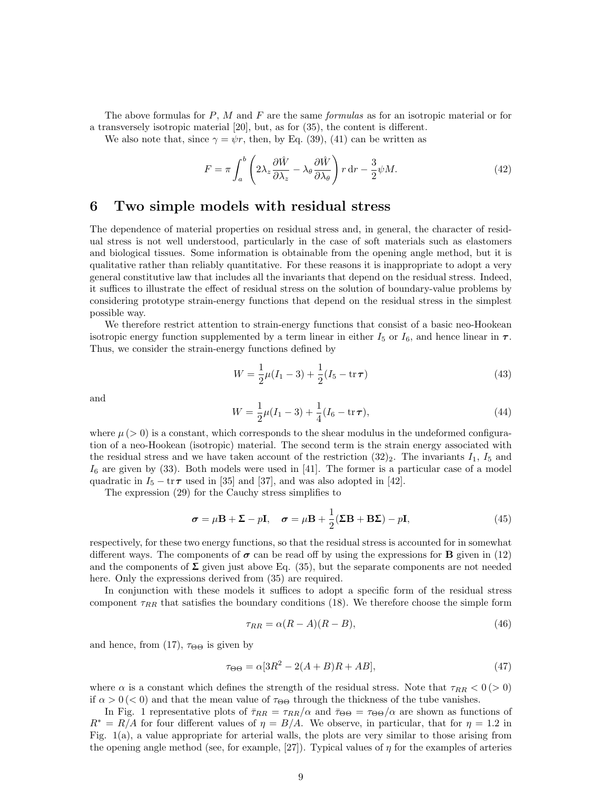The above formulas for  $P$ ,  $M$  and  $F$  are the same *formulas* as for an isotropic material or for a transversely isotropic material [20], but, as for (35), the content is different.

We also note that, since  $\gamma = \psi r$ , then, by Eq. (39), (41) can be written as

$$
F = \pi \int_{a}^{b} \left( 2\lambda_z \frac{\partial \hat{W}}{\partial \lambda_z} - \lambda_\theta \frac{\partial \hat{W}}{\partial \lambda_\theta} \right) r \, dr - \frac{3}{2} \psi M. \tag{42}
$$

### 6 Two simple models with residual stress

The dependence of material properties on residual stress and, in general, the character of residual stress is not well understood, particularly in the case of soft materials such as elastomers and biological tissues. Some information is obtainable from the opening angle method, but it is qualitative rather than reliably quantitative. For these reasons it is inappropriate to adopt a very general constitutive law that includes all the invariants that depend on the residual stress. Indeed, it suffices to illustrate the effect of residual stress on the solution of boundary-value problems by considering prototype strain-energy functions that depend on the residual stress in the simplest possible way.

We therefore restrict attention to strain-energy functions that consist of a basic neo-Hookean isotropic energy function supplemented by a term linear in either  $I_5$  or  $I_6$ , and hence linear in  $\tau$ . Thus, we consider the strain-energy functions defined by

$$
W = \frac{1}{2}\mu(I_1 - 3) + \frac{1}{2}(I_5 - \text{tr}\,\tau)
$$
\n(43)

and

$$
W = \frac{1}{2}\mu(I_1 - 3) + \frac{1}{4}(I_6 - \text{tr}\,\boldsymbol{\tau}),\tag{44}
$$

where  $\mu$  ( $>$  0) is a constant, which corresponds to the shear modulus in the undeformed configuration of a neo-Hookean (isotropic) material. The second term is the strain energy associated with the residual stress and we have taken account of the restriction  $(32)_2$ . The invariants  $I_1$ ,  $I_5$  and  $I_6$  are given by  $(33)$ . Both models were used in [41]. The former is a particular case of a model quadratic in  $I_5 - \text{tr}\,\tau$  used in [35] and [37], and was also adopted in [42].

The expression (29) for the Cauchy stress simplifies to

$$
\boldsymbol{\sigma} = \mu \mathbf{B} + \boldsymbol{\Sigma} - p \mathbf{I}, \quad \boldsymbol{\sigma} = \mu \mathbf{B} + \frac{1}{2} (\boldsymbol{\Sigma} \mathbf{B} + \mathbf{B} \boldsymbol{\Sigma}) - p \mathbf{I}, \tag{45}
$$

respectively, for these two energy functions, so that the residual stress is accounted for in somewhat different ways. The components of  $\sigma$  can be read off by using the expressions for **B** given in (12) and the components of  $\Sigma$  given just above Eq. (35), but the separate components are not needed here. Only the expressions derived from  $(35)$  are required.

In conjunction with these models it suffices to adopt a specific form of the residual stress component  $\tau_{RR}$  that satisfies the boundary conditions (18). We therefore choose the simple form

$$
\tau_{RR} = \alpha (R - A)(R - B),\tag{46}
$$

and hence, from (17),  $\tau_{\Theta\Theta}$  is given by

$$
\tau_{\Theta\Theta} = \alpha [3R^2 - 2(A+B)R + AB],\tag{47}
$$

where  $\alpha$  is a constant which defines the strength of the residual stress. Note that  $\tau_{RR} < 0$  ( $> 0$ ) if  $\alpha > 0 \, (< 0)$  and that the mean value of  $\tau_{\Theta\Theta}$  through the thickness of the tube vanishes.

In Fig. 1 representative plots of  $\bar{\tau}_{RR} = \tau_{RR}/\alpha$  and  $\bar{\tau}_{\Theta\Theta} = \tau_{\Theta\Theta}/\alpha$  are shown as functions of  $R^* = R/A$  for four different values of  $\eta = B/A$ . We observe, in particular, that for  $\eta = 1.2$  in Fig. 1(a), a value appropriate for arterial walls, the plots are very similar to those arising from the opening angle method (see, for example, [27]). Typical values of  $\eta$  for the examples of arteries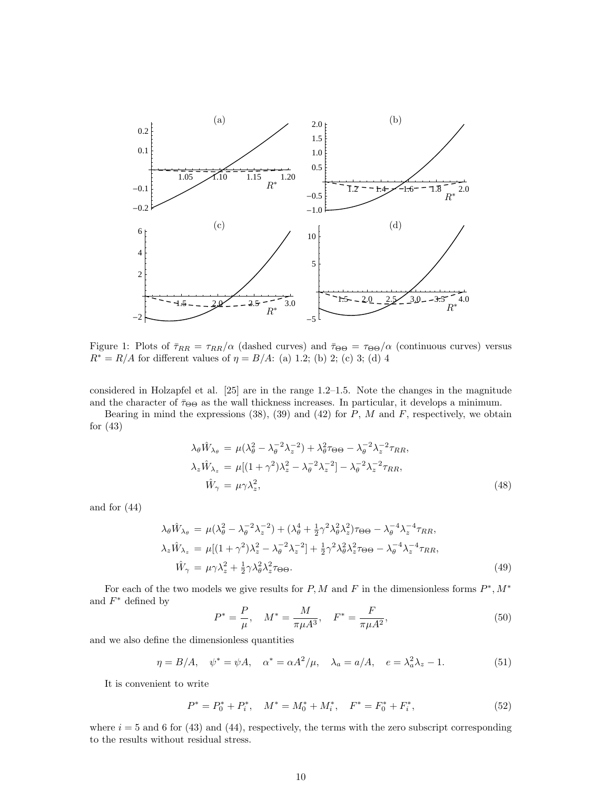

Figure 1: Plots of  $\bar{\tau}_{RR} = \tau_{RR}/\alpha$  (dashed curves) and  $\bar{\tau}_{\Theta\Theta} = \tau_{\Theta\Theta}/\alpha$  (continuous curves) versus  $R^* = R/A$  for different values of  $\eta = B/A$ : (a) 1.2; (b) 2; (c) 3; (d) 4.

In Figure 1 representative plots of  $\mathbb{R}^n$ considered in Holzapfel et al. [25] are in the range 1.2–1.5. Note the changes in the magnitude  $\alpha$  is not the server in (90), (90), and (49) for  $D$ ,  $M$  and  $E$  are estimated in  $\alpha$  in  $\alpha$  in  $\alpha$  in  $\alpha$  in  $\alpha$  in  $\alpha$  in  $\alpha$  in  $\alpha$  in  $\alpha$  in  $\alpha$  in  $\alpha$  in  $\alpha$  in  $\alpha$  in  $\alpha$  in  $\alpha$  in  $\alpha$  in  $\alpha$  in and the character of  $\bar{\tau}_{\Theta\Theta}$  as the wall thickness increases. In particular, it develops a minimum.

Bearing in mind the expressions (38), (39) and (42) for P, M and F, respectively, we obtain  $(42)$ for (43)

$$
\lambda_{\theta} \hat{W}_{\lambda_{\theta}} = \mu(\lambda_{\theta}^{2} - \lambda_{\theta}^{-2} \lambda_{z}^{-2}) + \lambda_{\theta}^{2} \tau_{\Theta \Theta} - \lambda_{\theta}^{-2} \lambda_{z}^{-2} \tau_{RR},
$$
  
\n
$$
\lambda_{z} \hat{W}_{\lambda_{z}} = \mu[(1 + \gamma^{2})\lambda_{z}^{2} - \lambda_{\theta}^{-2} \lambda_{z}^{-2}] - \lambda_{\theta}^{-2} \lambda_{z}^{-2} \tau_{RR},
$$
  
\n
$$
\hat{W}_{\gamma} = \mu \gamma \lambda_{z}^{2},
$$
\n(48)

and for (44)

$$
\lambda_{\theta}\hat{W}_{\lambda_{\theta}} = \mu(\lambda_{\theta}^{2} - \lambda_{\theta}^{-2}\lambda_{z}^{-2}) + (\lambda_{\theta}^{4} + \frac{1}{2}\gamma^{2}\lambda_{\theta}^{2}\lambda_{z}^{2})\tau_{\Theta\Theta} - \lambda_{\theta}^{-4}\lambda_{z}^{-4}\tau_{RR},
$$
  
\n
$$
\lambda_{z}\hat{W}_{\lambda_{z}} = \mu[(1+\gamma^{2})\lambda_{z}^{2} - \lambda_{\theta}^{-2}\lambda_{z}^{-2}] + \frac{1}{2}\gamma^{2}\lambda_{\theta}^{2}\lambda_{z}^{2}\tau_{\Theta\Theta} - \lambda_{\theta}^{-4}\lambda_{z}^{-4}\tau_{RR},
$$
  
\n
$$
\hat{W}_{\gamma} = \mu\gamma\lambda_{z}^{2} + \frac{1}{2}\gamma\lambda_{\theta}^{2}\lambda_{z}^{2}\tau_{\Theta\Theta}.
$$
\n(49)

For each of the two models we give results for  $P, M$  and F in the dimensionless forms  $P^*, M^*$ and  $F^*$  defined by

$$
P^* = \frac{P}{\mu}, \quad M^* = \frac{M}{\pi \mu A^3}, \quad F^* = \frac{F}{\pi \mu A^2}, \tag{50}
$$

and we also define the dimensionless quantities

$$
\eta = B/A, \quad \psi^* = \psi A, \quad \alpha^* = \alpha A^2 / \mu, \quad \lambda_a = a/A, \quad e = \lambda_a^2 \lambda_z - 1.
$$
\n(51)

It is convenient to write

$$
P^* = P_0^* + P_i^*, \quad M^* = M_0^* + M_i^*, \quad F^* = F_0^* + F_i^*, \tag{52}
$$

where  $i = 5$  and 6 for (43) and (44), respectively, the terms with the zero subscript corresponding to the results without residual stress.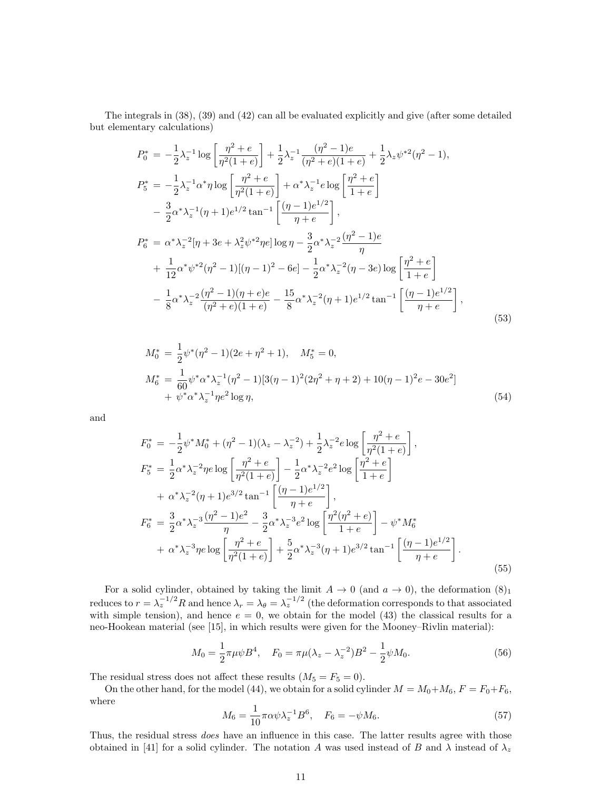The integrals in (38), (39) and (42) can all be evaluated explicitly and give (after some detailed but elementary calculations)

$$
P_0^* = -\frac{1}{2}\lambda_z^{-1}\log\left[\frac{\eta^2 + e}{\eta^2(1+e)}\right] + \frac{1}{2}\lambda_z^{-1}\frac{(\eta^2 - 1)e}{(\eta^2 + e)(1+e)} + \frac{1}{2}\lambda_z\psi^{*2}(\eta^2 - 1),
$$
  
\n
$$
P_5^* = -\frac{1}{2}\lambda_z^{-1}\alpha^*\eta\log\left[\frac{\eta^2 + e}{\eta^2(1+e)}\right] + \alpha^*\lambda_z^{-1}e\log\left[\frac{\eta^2 + e}{1+e}\right]
$$
  
\n
$$
-\frac{3}{2}\alpha^*\lambda_z^{-1}(\eta + 1)e^{1/2}\tan^{-1}\left[\frac{(\eta - 1)e^{1/2}}{\eta + e}\right],
$$
  
\n
$$
P_6^* = \alpha^*\lambda_z^{-2}[\eta + 3e + \lambda_z^2\psi^{*2}\eta e]\log\eta - \frac{3}{2}\alpha^*\lambda_z^{-2}\frac{(\eta^2 - 1)e}{\eta}
$$
  
\n
$$
+ \frac{1}{12}\alpha^*\psi^{*2}(\eta^2 - 1)[(\eta - 1)^2 - 6e] - \frac{1}{2}\alpha^*\lambda_z^{-2}(\eta - 3e)\log\left[\frac{\eta^2 + e}{1+e}\right]
$$
  
\n
$$
- \frac{1}{8}\alpha^*\lambda_z^{-2}\frac{(\eta^2 - 1)(\eta + e)e}{(\eta^2 + e)(1+e)} - \frac{15}{8}\alpha^*\lambda_z^{-2}(\eta + 1)e^{1/2}\tan^{-1}\left[\frac{(\eta - 1)e^{1/2}}{\eta + e}\right],
$$
  
\n(53)

$$
M_0^* = \frac{1}{2} \psi^* (\eta^2 - 1)(2e + \eta^2 + 1), \quad M_5^* = 0,
$$
  
\n
$$
M_6^* = \frac{1}{60} \psi^* \alpha^* \lambda_z^{-1} (\eta^2 - 1)[3(\eta - 1)^2 (2\eta^2 + \eta + 2) + 10(\eta - 1)^2 e - 30e^2]
$$
  
\n
$$
+ \psi^* \alpha^* \lambda_z^{-1} \eta e^2 \log \eta,
$$
\n(54)

and

$$
F_0^* = -\frac{1}{2}\psi^* M_0^* + (\eta^2 - 1)(\lambda_z - \lambda_z^{-2}) + \frac{1}{2}\lambda_z^{-2}e \log\left[\frac{\eta^2 + e}{\eta^2(1+e)}\right],
$$
  
\n
$$
F_5^* = \frac{1}{2}\alpha^*\lambda_z^{-2}\eta e \log\left[\frac{\eta^2 + e}{\eta^2(1+e)}\right] - \frac{1}{2}\alpha^*\lambda_z^{-2}e^2 \log\left[\frac{\eta^2 + e}{1+e}\right]
$$
  
\n
$$
+ \alpha^*\lambda_z^{-2}(\eta + 1)e^{3/2}\tan^{-1}\left[\frac{(\eta - 1)e^{1/2}}{\eta + e}\right],
$$
  
\n
$$
F_6^* = \frac{3}{2}\alpha^*\lambda_z^{-3}\frac{(\eta^2 - 1)e^2}{\eta} - \frac{3}{2}\alpha^*\lambda_z^{-3}e^2 \log\left[\frac{\eta^2(\eta^2 + e)}{1+e}\right] - \psi^* M_6^*
$$
  
\n
$$
+ \alpha^*\lambda_z^{-3}\eta e \log\left[\frac{\eta^2 + e}{\eta^2(1+e)}\right] + \frac{5}{2}\alpha^*\lambda_z^{-3}(\eta + 1)e^{3/2}\tan^{-1}\left[\frac{(\eta - 1)e^{1/2}}{\eta + e}\right].
$$
  
\n(55)

For a solid cylinder, obtained by taking the limit  $A \to 0$  (and  $a \to 0$ ), the deformation  $(8)_1$ reduces to  $r = \lambda_z^{-1/2} R$  and hence  $\lambda_r = \lambda_\theta = \lambda_z^{-1/2}$  (the deformation corresponds to that associated with simple tension), and hence  $e = 0$ , we obtain for the model (43) the classical results for a neo-Hookean material (see [15], in which results were given for the Mooney–Rivlin material):

$$
M_0 = \frac{1}{2}\pi\mu\psi B^4, \quad F_0 = \pi\mu(\lambda_z - \lambda_z^{-2})B^2 - \frac{1}{2}\psi M_0.
$$
 (56)

The residual stress does not affect these results  $(M_5 = F_5 = 0)$ .

On the other hand, for the model (44), we obtain for a solid cylinder  $M = M_0 + M_6$ ,  $F = F_0 + F_6$ , where

$$
M_6 = \frac{1}{10} \pi \alpha \psi \lambda_z^{-1} B^6, \quad F_6 = -\psi M_6. \tag{57}
$$

Thus, the residual stress *does* have an influence in this case. The latter results agree with those obtained in [41] for a solid cylinder. The notation A was used instead of B and  $\lambda$  instead of  $\lambda_z$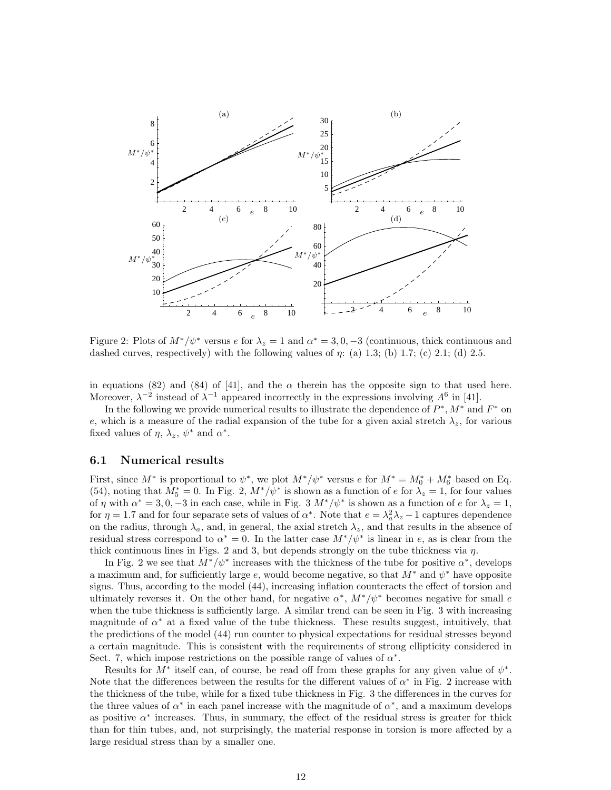

Figure 2: Plots of  $M^*/\psi^*$  versus e for  $\lambda_z = 1$  and  $\alpha^* = 3, 0, -3$  (continuous, thick continuous and dashed curves, respectively) with the following values of  $\eta$ : (a) 1.3; (b) 1.7; (c) 2.1; (d) 2.5.

in equations (82) and (84) of [41], and the  $\alpha$  therein has the opposite sign to that used here. Moreover,  $\lambda^{-2}$  instead of  $\lambda^{-1}$  appeared incorrectly in the expressions involving  $A^6$  in [41].

In the following we provide numerical results to illustrate the dependence of  $P^*$ ,  $M^*$  and  $F^*$  on e, which is a measure of the radial expansion of the tube for a given axial stretch  $\lambda_z$ , for various  $\mathbf{f}_{\text{red}}$  and  $\mathbf{g}_{\text{red}}$  at  $\mathbf{g}_{\text{red}}$  and  $\mathbf{g}_{\text{red}}$ . fixed values of  $\eta$ ,  $\lambda_z$ ,  $\psi^*$  and  $\alpha^*$ .

#### 6.1 Numerical results

First, since  $M^*$  is proportional to  $\psi^*$ , we plot  $M^*/\psi^*$  versus  $e$  for  $M^* = M_0^* + M_6^*$  based on Eq. (54), noting that  $M_5^* = 0$ . In Fig. 2,  $M^*/\psi^*$  is shown as a function of e for  $\lambda_z = 1$ , for four values of  $\eta$  with  $\alpha^* = 3, 0, -3$  in each case, while in Fig. 3  $M^*/\psi^*$  is shown as a function of e for  $\lambda_z = 1$ , for  $\eta = 1.7$  and for four separate sets of values of  $\alpha^*$ . Note that  $e = \lambda_a^2 \lambda_z - 1$  captures dependence on the radius, through  $\lambda_a$ , and, in general, the axial stretch  $\lambda_z$ , and that results in the absence of residual stress correspond to  $\alpha^* = 0$ . In the latter case  $M^*/\psi^*$  is linear in e, as is clear from the thick continuous lines in Figs. 2 and 3, but depends strongly on the tube thickness via  $\eta$ .

In Fig. 2 we see that  $M^*/\psi^*$  increases with the thickness of the tube for positive  $\alpha^*$ , develops a maximum and, for sufficiently large e, would become negative, so that  $M^*$  and  $\psi^*$  have opposite signs. Thus, according to the model (44), increasing inflation counteracts the effect of torsion and ultimately reverses it. On the other hand, for negative  $\alpha^*$ ,  $M^*/\psi^*$  becomes negative for small e when the tube thickness is sufficiently large. A similar trend can be seen in Fig. 3 with increasing magnitude of  $\alpha^*$  at a fixed value of the tube thickness. These results suggest, intuitively, that the predictions of the model (44) run counter to physical expectations for residual stresses beyond a certain magnitude. This is consistent with the requirements of strong ellipticity considered in Sect. 7, which impose restrictions on the possible range of values of  $\alpha^*$ .

Results for  $M^*$  itself can, of course, be read off from these graphs for any given value of  $\psi^*$ . Note that the differences between the results for the different values of  $\alpha^*$  in Fig. 2 increase with the thickness of the tube, while for a fixed tube thickness in Fig. 3 the differences in the curves for the three values of  $\alpha^*$  in each panel increase with the magnitude of  $\alpha^*$ , and a maximum develops as positive  $\alpha^*$  increases. Thus, in summary, the effect of the residual stress is greater for thick than for thin tubes, and, not surprisingly, the material response in torsion is more affected by a large residual stress than by a smaller one.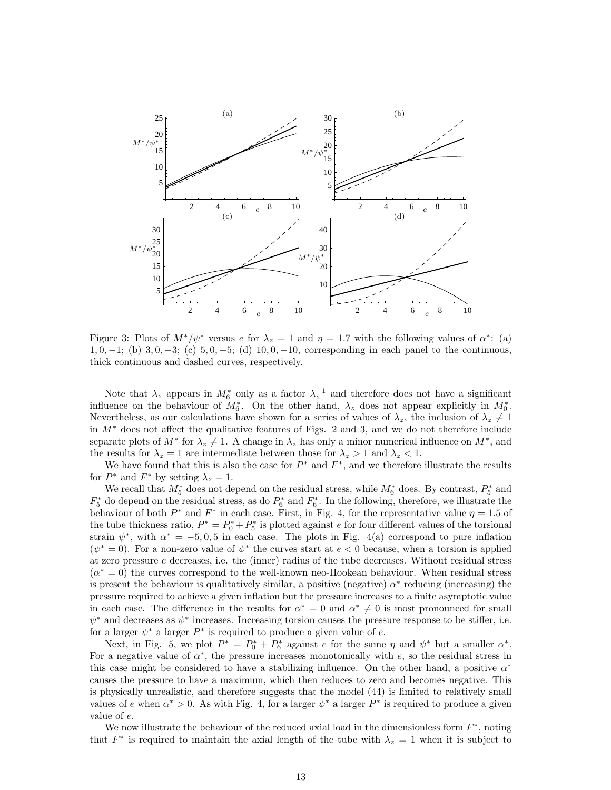

Figure 3: Plots of  $M^*/\psi^*$  versus e for  $\lambda_z = 1$  and  $\eta = 1.7$  with the following values of  $\alpha^*$ : (a) 1, 0, −1; (b) 3, 0, −3; (c) 5, 0, −5; (d) 10, 0, −10, corresponding in each panel to the continuous, 1, 0, −1; (b) 3, 0, −3; (c) 5, 0, −5; (d) 10, 0, −10, corresponding in each panel to the continuous, thick continuous and dashed curves, respectively. thick continuous and dashed curves, respectively.

separate plots of  $M^*$  for  $\lambda_z \neq 1$ . A change in  $\lambda_z$  has only a minor numerical influence on  $M^*$ , and Nevertheless, as our calculations have shown for a series of values of  $\lambda_z$ , the inclusion of  $\lambda_z \neq 1$ Note that  $\lambda_z$  appears in  $M^*_{\delta}$  only as a factor  $\lambda_z^{-1}$  and therefore does not have a significant in  $M^*$  does not affect the qualitative features of Figs. 2 and 3, and we do not therefore include influence on the behaviour of  $M_6^*$ . On the other hand,  $\lambda_z$  does not appear explicitly in  $M_0^*$ . the results for  $\lambda_z = 1$  are intermediate between those for  $\lambda_z > 1$  and  $\lambda_z < 1$ .

We have found that this is also the case for  $P^*$  and  $F^*$ , and we therefore illustrate the results for  $P^*$  and  $F^*$  by setting  $\lambda_z = 1$ .

 $(\alpha^* = 0)$  the curves correspond to the well-known neo-Hookean behaviour. When residual stress  $(\psi^* = 0)$ . For a non-zero value of  $\psi^*$  the curves start at  $e < 0$  because, when a torsion is applied 20 behaviour of both  $P^*$  and  $F^*$  in each case. First, in Fig. 4, for the representative value  $\eta = 1.5$  of  $F_5^*$  do depend on the residual stress, as do  $P_6^*$  and  $F_6^*$ . In the following, therefore, we illustrate the We recall that  $M_5^*$  does not depend on the residual stress, while  $M_6^*$  does. By contrast,  $P_5^*$  and strain  $\psi^*$ , with  $\alpha^* = -5, 0, 5$  in each case. The plots in Fig. 4(a) correspond to pure inflation the tube thickness ratio,  $P^* = P_0^* + P_5^*$  is plotted against e for four different values of the torsional is present the behaviour is qualitatively similar, a positive (negative)  $\alpha^*$  reducing (increasing) the pressure required to achieve a given inflation but the pressure increases to a finite asymptotic value at zero pressure e decreases, i.e. the (inner) radius of the tube decreases. Without residual stress in each case. The difference in the results for  $\alpha^* = 0$  and  $\alpha^* \neq 0$  is most pronounced for small  $\psi^*$  and decreases as  $\psi^*$  increases. Increasing torsion causes the pressure response to be stiffer, i.e. for a larger  $\psi^*$  a larger  $P^*$  is required to produce a given value of e.

Next, in Fig. 5, we plot  $P^* = P_0^* + P_6^*$  against e for the same  $\eta$  and  $\psi^*$  but a smaller  $\alpha^*$ . For a negative value of  $\alpha^*$ , the pressure increases monotonically with e, so the residual stress in this case might be considered to have a stabilizing influence. On the other hand, a positive  $\alpha^*$ causes the pressure to have a maximum, which then reduces to zero and becomes negative. This is physically unrealistic, and therefore suggests that the model (44) is limited to relatively small values of e when  $\alpha^* > 0$ . As with Fig. 4, for a larger  $\psi^*$  a larger  $P^*$  is required to produce a given value of e.

We now illustrate the behaviour of the reduced axial load in the dimensionless form  $F^*$ , noting that  $F^*$  is required to maintain the axial length of the tube with  $\lambda_z = 1$  when it is subject to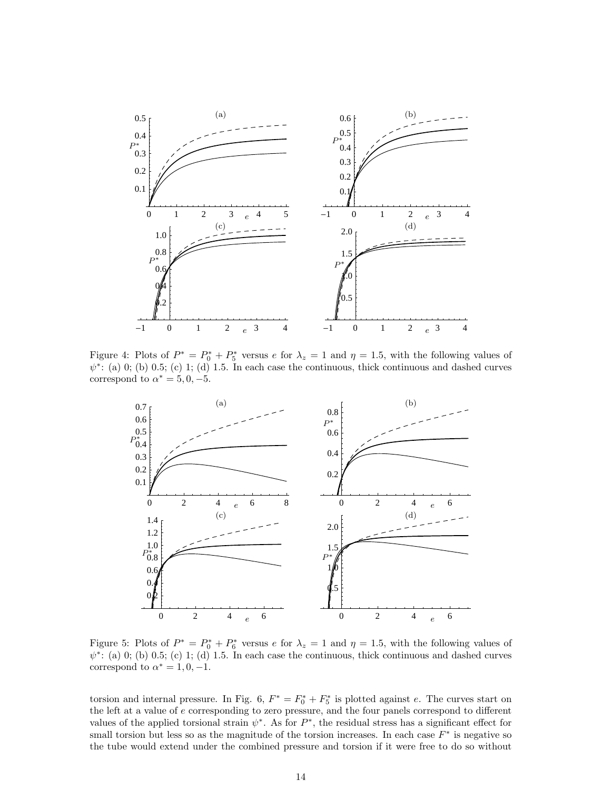

 $\psi^*$ : (a) 0; (b) 0.5; (c) 1; (d) 1.5. In each case the continuous, thick continuous and dashed curves correspond to  $\alpha^* = 5, 0, -5.$ Figure 4: Plots of  $P^* = P_0^* + P_5^*$  versus e for  $\lambda_z = 1$  and  $\eta = 1.5$ , with the following values of  $\mathbf{u}$  1.5.  $\mathbf{u}$ 



 $($ b) 0.5; (c) 1; (d) 1.5. In each case the continuous, thick continuous and dashed correspond to  $\alpha^* = 1, 0, -1.$ Figure 5: Plots of  $P^* = P_0^* + P_6^*$  versus e for  $\lambda_z = 1$  and  $\eta = 1.5$ , with the following values of  $\psi^*$ : (a) 0; (b) 0.5; (c) 1; (d) 1.5. In each case the continuous, thick continuous and dashed curves

torsion and internal pressure. In Fig. 6,  $F^* = F_0^* + F_5^*$  is plotted against e. The curves start on the left at a value of e corresponding to zero pressure, and the four panels correspond to different values of the applied torsional strain  $\psi^*$ . As for  $P^*$ , the residual stress has a significant effect for small torsion but less so as the magnitude of the torsion increases. In each case  $F^*$  is negative so the tube would extend under the combined pressure and torsion if it were free to do so without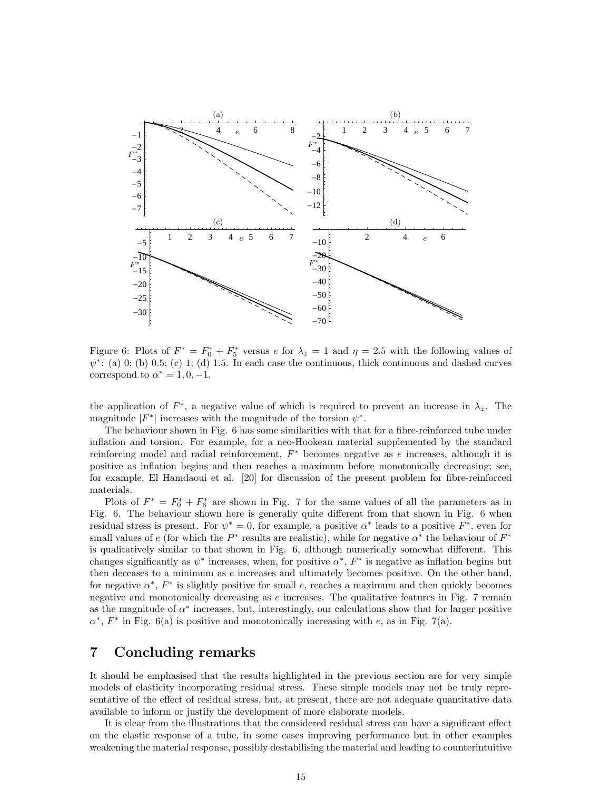![](_page_14_Figure_0.jpeg)

Figure 6: Plots of  $F^* = F_0^* + F_5^*$  versus e for  $\lambda_z = 1$  and  $\eta = 2.5$  with the following values of  $\psi^*$ . (a) 0; (b) 0.5; (c) 1; (d) 1.5. In each case the continuous thick continuous and dashed curves  $\psi^*$ : (a) 0; (b) 0.5; (c) 1; (d) 1.5. In each case the continuous, thick continuous and dashed curves correspond to  $\alpha^* = 1, 0, -1$ .

the application of  $F^*$ , a negative value of which is required to prevent an increase in  $\lambda_z$ . The magnitude  $|F^*|$  increases with the magnitude of the torsion  $\psi^*$ .

 $\frac{1}{2}$  haviour shown in Fig. 6 has some sim positive as inflation begins and then reaches a maximum before monotonically decreasing; see,  $r_{\text{e}}$  reinforcing model and radial reinforcement,  $F^*$  becomes negative as *e* increases, although it is inflation and torsion. For example, for a neo-Hookean material supplemented by the standard The behaviour shown in Fig. 6 has some similarities with that for a fibre-reinforced tube under for example, El Hamdaoui et al. [20] for discussion of the present problem for fibre-reinforced materials.

Plots of  $F^* = F_0^* + F_6^*$  are shown in Fig. 7 for the same values of all the parameters as in changes significantly as  $\psi^*$  increases, when, for positive  $\alpha^*$ ,  $F^*$  is negative as inflation begins but is qualitatively similar to that shown in Fig. 6, although numerically somewhat different. This residual stress is present. For  $\psi^* = 0$ , for example, a positive  $\alpha^*$  leads to a positive  $F^*$ , even for Fig. 6. The behaviour shown here is generally quite different from that shown in Fig. 6 when then deceases to a minimum as  $e$  increases and ultimately becomes positive. On the other hand, small values of e (for which the  $P^*$  results are realistic), while for negative  $\alpha^*$  the behaviour of  $F^*$ negative and monotonically decreasing as  $e$  increases. The qualitative features in Fig. 7 remain for negative  $\alpha^*$ ,  $F^*$  is slightly positive for small e, reaches a maximum and then quickly becomes as the magnitude of  $\alpha^*$  increases, but, interestingly, our calculations show that for larger positive  $\alpha^*$ ,  $F^*$  in Fig. 6(a) is positive and monotonically increasing with e, as in Fig. 7(a).

## 7 Concluding remarks

It should be emphasised that the results highlighted in the previous section are for very simple models of elasticity incorporating residual stress. These simple models may not be truly representative of the effect of residual stress, but, at present, there are not adequate quantitative data available to inform or justify the development of more elaborate models.

It is clear from the illustrations that the considered residual stress can have a significant effect on the elastic response of a tube, in some cases improving performance but in other examples weakening the material response, possibly destabilising the material and leading to counterintuitive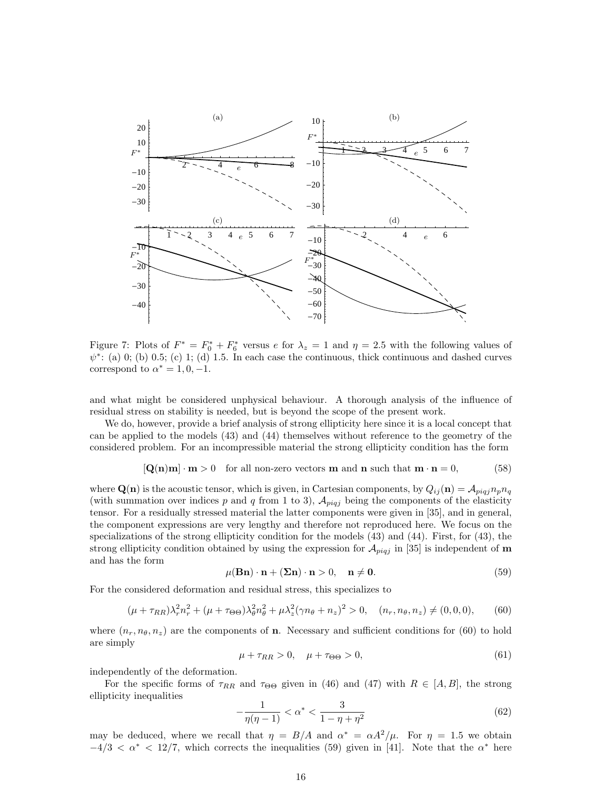![](_page_15_Figure_0.jpeg)

Figure 7: Plots of  $F^* = F_0^* + F_6^*$  versus e for  $\lambda_z = 1$  and  $\eta = 2.5$  with the following values of  $\psi^*$ : (a) 0; (b) 0.5; (c) 1; (d) 1.5. In each case the continuous, thick continuous and dashed curves correspond to  $\alpha^* = 1, 0, -1$ .

and what might be considered unphysical behaviour. A thorough analysis of the influence of residual stress on stability is needed, but is beyond the scope of the present work.

We do, however, provide a brief analysis of strong ellipticity here since it is a local concept that can be applied to the models (43) and (44) themselves without reference to the geometry of the considered problem. For an incompressible material the strong ellipticity condition has the form

$$
[\mathbf{Q(n)m}] \cdot \mathbf{m} > 0 \quad \text{for all non-zero vectors } \mathbf{m} \text{ and } \mathbf{n} \text{ such that } \mathbf{m} \cdot \mathbf{n} = 0,
$$
 (58)

where  $\mathbf{Q}(\mathbf{n})$  is the acoustic tensor, which is given, in Cartesian components, by  $Q_{ij}(\mathbf{n}) = A_{piqj}n_p n_q$ (with summation over indices p and q from 1 to 3),  $\mathcal{A}_{piqj}$  being the components of the elasticity tensor. For a residually stressed material the latter components were given in [35], and in general, the component expressions are very lengthy and therefore not reproduced here. We focus on the specializations of the strong ellipticity condition for the models (43) and (44). First, for (43), the strong ellipticity condition obtained by using the expression for  $\mathcal{A}_{piqj}$  in [35] is independent of m and has the form

$$
\mu(\mathbf{Bn}) \cdot \mathbf{n} + (\mathbf{\Sigma n}) \cdot \mathbf{n} > 0, \quad \mathbf{n} \neq \mathbf{0}.\tag{59}
$$

For the considered deformation and residual stress, this specializes to

$$
(\mu + \tau_{RR})\lambda_r^2 n_r^2 + (\mu + \tau_{\Theta\Theta})\lambda_\theta^2 n_\theta^2 + \mu \lambda_z^2 (\gamma n_\theta + n_z)^2 > 0, \quad (n_r, n_\theta, n_z) \neq (0, 0, 0), \tag{60}
$$

where  $(n_r, n_\theta, n_z)$  are the components of **n**. Necessary and sufficient conditions for (60) to hold are simply

$$
\mu + \tau_{RR} > 0, \quad \mu + \tau_{\Theta\Theta} > 0,\tag{61}
$$

independently of the deformation.

For the specific forms of  $\tau_{RR}$  and  $\tau_{\Theta\Theta}$  given in (46) and (47) with  $R \in [A, B]$ , the strong ellipticity inequalities

$$
-\frac{1}{\eta(\eta-1)} < \alpha^* < \frac{3}{1-\eta+\eta^2} \tag{62}
$$

may be deduced, where we recall that  $\eta = B/A$  and  $\alpha^* = \alpha A^2/\mu$ . For  $\eta = 1.5$  we obtain  $-4/3 < \alpha^* < 12/7$ , which corrects the inequalities (59) given in [41]. Note that the  $\alpha^*$  here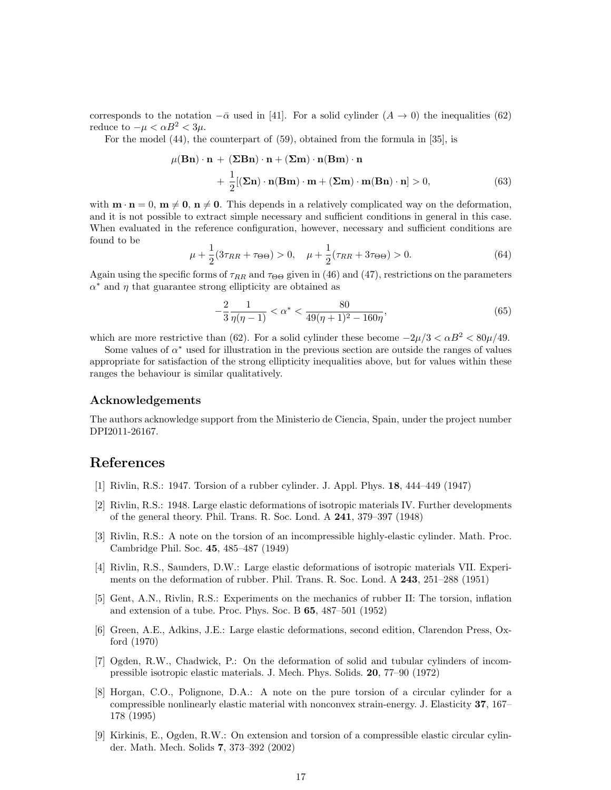corresponds to the notation  $-\bar{\alpha}$  used in [41]. For a solid cylinder  $(A \to 0)$  the inequalities (62) reduce to  $-\mu < \alpha B^2 < 3\mu$ .

For the model (44), the counterpart of (59), obtained from the formula in [35], is

$$
\mu(\mathbf{Bn}) \cdot \mathbf{n} + (\mathbf{\Sigma Bn}) \cdot \mathbf{n} + (\mathbf{\Sigma m}) \cdot \mathbf{n}(\mathbf{Bm}) \cdot \mathbf{n} + \frac{1}{2} [(\mathbf{\Sigma n}) \cdot \mathbf{n}(\mathbf{Bm}) \cdot \mathbf{m} + (\mathbf{\Sigma m}) \cdot \mathbf{m}(\mathbf{Bn}) \cdot \mathbf{n}] > 0,
$$
(63)

with  $\mathbf{m} \cdot \mathbf{n} = 0$ ,  $\mathbf{m} \neq \mathbf{0}$ ,  $\mathbf{n} \neq \mathbf{0}$ . This depends in a relatively complicated way on the deformation, and it is not possible to extract simple necessary and sufficient conditions in general in this case. When evaluated in the reference configuration, however, necessary and sufficient conditions are found to be

$$
\mu + \frac{1}{2}(3\tau_{RR} + \tau_{\Theta\Theta}) > 0, \quad \mu + \frac{1}{2}(\tau_{RR} + 3\tau_{\Theta\Theta}) > 0.
$$
 (64)

Again using the specific forms of  $\tau_{RR}$  and  $\tau_{\Theta\Theta}$  given in (46) and (47), restrictions on the parameters  $\alpha^*$  and  $\eta$  that guarantee strong ellipticity are obtained as

$$
-\frac{2}{3}\frac{1}{\eta(\eta-1)} < \alpha^* < \frac{80}{49(\eta+1)^2 - 160\eta},\tag{65}
$$

which are more restrictive than (62). For a solid cylinder these become  $-2\mu/3 < \alpha B^2 < 80\mu/49$ .

Some values of  $\alpha^*$  used for illustration in the previous section are outside the ranges of values appropriate for satisfaction of the strong ellipticity inequalities above, but for values within these ranges the behaviour is similar qualitatively.

#### Acknowledgements

The authors acknowledge support from the Ministerio de Ciencia, Spain, under the project number DPI2011-26167.

### References

- [1] Rivlin, R.S.: 1947. Torsion of a rubber cylinder. J. Appl. Phys. 18, 444–449 (1947)
- [2] Rivlin, R.S.: 1948. Large elastic deformations of isotropic materials IV. Further developments of the general theory. Phil. Trans. R. Soc. Lond. A 241, 379–397 (1948)
- [3] Rivlin, R.S.: A note on the torsion of an incompressible highly-elastic cylinder. Math. Proc. Cambridge Phil. Soc. 45, 485–487 (1949)
- [4] Rivlin, R.S., Saunders, D.W.: Large elastic deformations of isotropic materials VII. Experiments on the deformation of rubber. Phil. Trans. R. Soc. Lond. A 243, 251–288 (1951)
- [5] Gent, A.N., Rivlin, R.S.: Experiments on the mechanics of rubber II: The torsion, inflation and extension of a tube. Proc. Phys. Soc. B 65, 487–501 (1952)
- [6] Green, A.E., Adkins, J.E.: Large elastic deformations, second edition, Clarendon Press, Oxford (1970)
- [7] Ogden, R.W., Chadwick, P.: On the deformation of solid and tubular cylinders of incompressible isotropic elastic materials. J. Mech. Phys. Solids. 20, 77–90 (1972)
- [8] Horgan, C.O., Polignone, D.A.: A note on the pure torsion of a circular cylinder for a compressible nonlinearly elastic material with nonconvex strain-energy. J. Elasticity 37, 167– 178 (1995)
- [9] Kirkinis, E., Ogden, R.W.: On extension and torsion of a compressible elastic circular cylinder. Math. Mech. Solids 7, 373–392 (2002)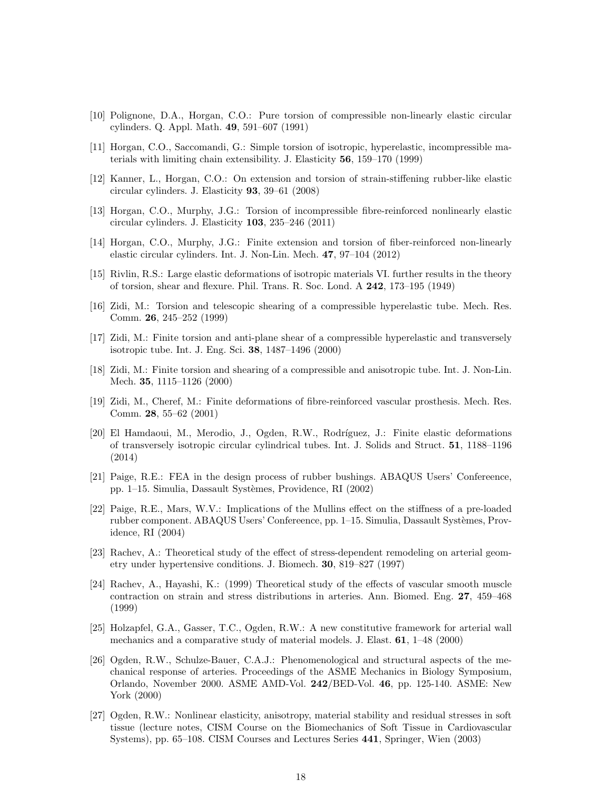- [10] Polignone, D.A., Horgan, C.O.: Pure torsion of compressible non-linearly elastic circular cylinders. Q. Appl. Math. 49, 591–607 (1991)
- [11] Horgan, C.O., Saccomandi, G.: Simple torsion of isotropic, hyperelastic, incompressible materials with limiting chain extensibility. J. Elasticity 56, 159–170 (1999)
- [12] Kanner, L., Horgan, C.O.: On extension and torsion of strain-stiffening rubber-like elastic circular cylinders. J. Elasticity 93, 39–61 (2008)
- [13] Horgan, C.O., Murphy, J.G.: Torsion of incompressible fibre-reinforced nonlinearly elastic circular cylinders. J. Elasticity 103, 235–246 (2011)
- [14] Horgan, C.O., Murphy, J.G.: Finite extension and torsion of fiber-reinforced non-linearly elastic circular cylinders. Int. J. Non-Lin. Mech. 47, 97–104 (2012)
- [15] Rivlin, R.S.: Large elastic deformations of isotropic materials VI. further results in the theory of torsion, shear and flexure. Phil. Trans. R. Soc. Lond. A 242, 173–195 (1949)
- [16] Zidi, M.: Torsion and telescopic shearing of a compressible hyperelastic tube. Mech. Res. Comm. 26, 245–252 (1999)
- [17] Zidi, M.: Finite torsion and anti-plane shear of a compressible hyperelastic and transversely isotropic tube. Int. J. Eng. Sci. 38, 1487–1496 (2000)
- [18] Zidi, M.: Finite torsion and shearing of a compressible and anisotropic tube. Int. J. Non-Lin. Mech. 35, 1115–1126 (2000)
- [19] Zidi, M., Cheref, M.: Finite deformations of fibre-reinforced vascular prosthesis. Mech. Res. Comm. 28, 55–62 (2001)
- [20] El Hamdaoui, M., Merodio, J., Ogden, R.W., Rodríguez, J.: Finite elastic deformations of transversely isotropic circular cylindrical tubes. Int. J. Solids and Struct. 51, 1188–1196 (2014)
- [21] Paige, R.E.: FEA in the design process of rubber bushings. ABAQUS Users' Confereence, pp. 1–15. Simulia, Dassault Syst`emes, Providence, RI (2002)
- [22] Paige, R.E., Mars, W.V.: Implications of the Mullins effect on the stiffness of a pre-loaded rubber component. ABAQUS Users' Confereence, pp. 1–15. Simulia, Dassault Systèmes, Providence, RI (2004)
- [23] Rachev, A.: Theoretical study of the effect of stress-dependent remodeling on arterial geometry under hypertensive conditions. J. Biomech. 30, 819–827 (1997)
- [24] Rachev, A., Hayashi, K.: (1999) Theoretical study of the effects of vascular smooth muscle contraction on strain and stress distributions in arteries. Ann. Biomed. Eng. 27, 459–468 (1999)
- [25] Holzapfel, G.A., Gasser, T.C., Ogden, R.W.: A new constitutive framework for arterial wall mechanics and a comparative study of material models. J. Elast. 61, 1–48 (2000)
- [26] Ogden, R.W., Schulze-Bauer, C.A.J.: Phenomenological and structural aspects of the mechanical response of arteries. Proceedings of the ASME Mechanics in Biology Symposium, Orlando, November 2000. ASME AMD-Vol. 242/BED-Vol. 46, pp. 125-140. ASME: New York (2000)
- [27] Ogden, R.W.: Nonlinear elasticity, anisotropy, material stability and residual stresses in soft tissue (lecture notes, CISM Course on the Biomechanics of Soft Tissue in Cardiovascular Systems), pp. 65–108. CISM Courses and Lectures Series 441, Springer, Wien (2003)